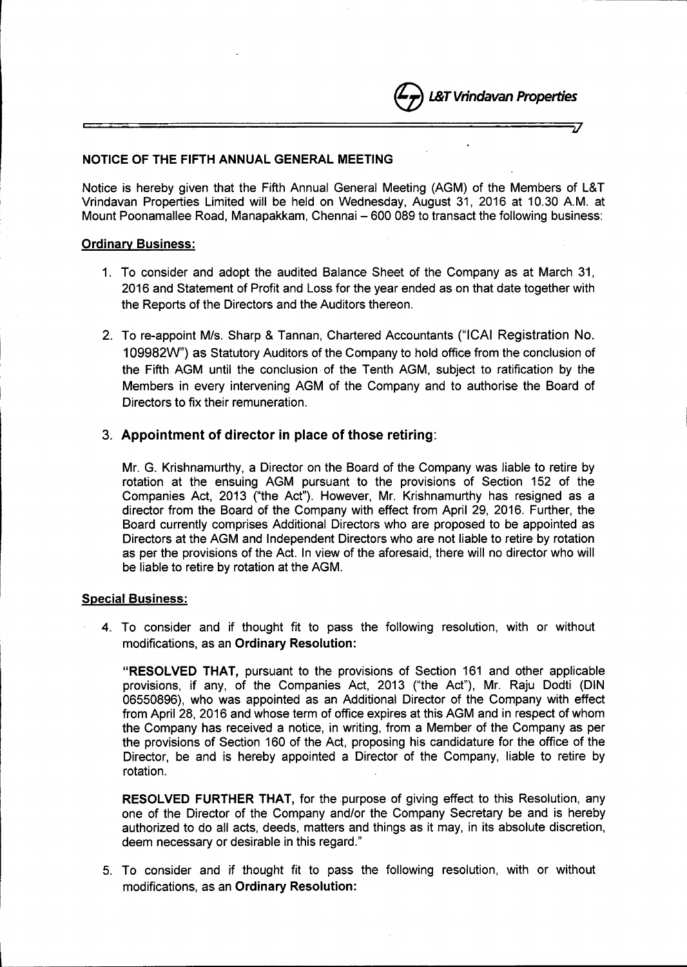

## NOTICE OF THE FIFTH ANNUAL GENERAL MEETING

Notice is hereby given that the Fifth Annual General Meeting (AGM) of the Members of L&T Vrindavan Properties Limited will be held on Wednesday, August 31, 2016 at 10.30 A.M. at Mount Poonamallee Road, Manapakkam, Chennai - 600 089 to transact the following business:

*, J*

## Ordinary Business:

- 1. To consider and adopt the audited Balance Sheet of the Company as at March 31, 2016 and Statement of Profit and Loss for the year ended as on that date together with the Reports of the Directors and the Auditors thereon.
- 2. To re-appoint M/s. Sharp & Tannan, Chartered Accountants ("ICAI Registration No. 109982W") as Statutory Auditors of the Company to hold office from the conclusion of the Fifth AGM until the conclusion of the Tenth AGM, subject to ratification by the Members in every intervening AGM of the Company and to authorise the Board of Directors to fix their remuneration.

# 3. Appointment of director in place of those retiring:

Mr. G. Krishnamurthy, a Director on the Board of the Company was liable to retire by rotation at the ensuing AGM pursuant to the provisions of Section 152 of the Companies Act, 2013 ("the Act"). However, Mr. Krishnamurthy has resigned as a director from the Board of the Company with effect from April 29, 2016. Further, the Board currently comprises Additional Directors who are proposed to be appointed as Directors at the AGM and Independent Directors who are not liable to retire by rotation as per the provisions of the Act. In view of the aforesaid, there will no director who will be liable to retire by rotation at the AGM.

# Special Business:

l

4. To consider and if thought fit to pass the following resolution, with or without modifications, as an Ordinary Resolution:

"RESOLVED THAT, pursuant to the provisions of Section 161 and other applicable provisions, if any, of the Companies Act, 2013 ("the Act"), Mr. Raju Dodti (DIN 06550896), who was appointed as an Additional Director of the Company with effect from April 28, 2016 and whose term of office expires at this AGM and in respect of whom the Company has received a notice, in writing, from a Member of the Company as per the provisions of Section 160 of the Act, proposing his candidature for the office of the Director, be and is hereby appointed a Director of the Company, liable to retire by rotation.

RESOLVED FURTHER THAT, for the purpose of giving effect to this Resolution, any one of the Director of the Company andlor the Company Secretary be and is hereby authorized to do all acts, deeds, matters and things as it may, in its absolute discretion, deem necessary or desirable in this regard."

5. To consider and if thought fit to pass the following resolution, with or without modifications, as an Ordinary Resolution: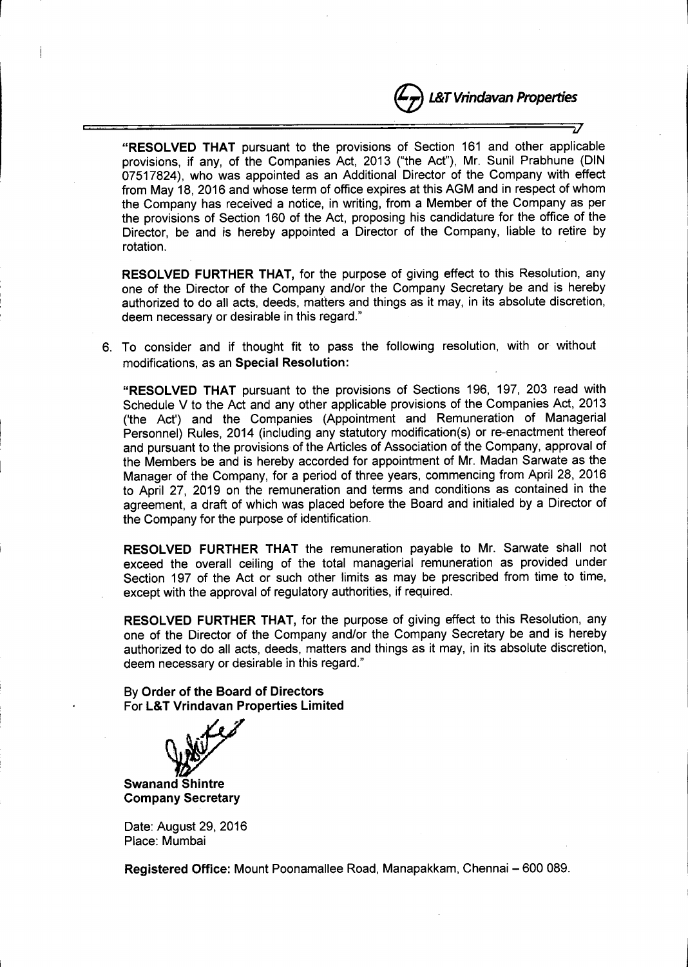*if*

"RESOLVED THAT pursuant to the provisions of Section 161 and other applicable provisions, if any, of the Companies Act, 2013 ("the Act"), Mr. Sunil Prabhune (DIN 07517824), who was appointed as an Additional Director of the Company with effect from May 18, 2016 and whose term of office expires at this AGM and in respect of whom the Company has received a notice, in writing, from a Member of the Company as per the provisions of Section 160 of the Act, proposing his candidature for the office of the Director, be and is hereby appointed a Director of the Company, liable to retire by rotation.

RESOLVED FURTHER THAT, for the purpose of giving effect to this Resolution, any one of the Director of the Company and/or the Company Secretary be and is hereby authorized to do all acts, deeds, matters and things as it may, in its absolute discretion, deem necessary or desirable in this regard."

6. To consider and if thought fit to pass the following resolution, with or without modifications, as an Special Resolution:

"RESOLVED THAT pursuant to the provisions of Sections 196, 197, 203 read with Schedule V to the Act and any other applicable provisions of the Companies Act, 2013 ('the Act') and the Companies (Appointment and Remuneration of Managerial Personnel) Rules, 2014 (including any statutory modification(s) or re-enactment thereof and pursuant to the provisions of the Articles of Association of the Company, approval of the Members be and is hereby accorded for appointment of Mr. Madan Sarwate as the Manager of the Company, for a period of three years, commencing from April 28, 2016 to April 27, 2019 on the remuneration and terms and conditions as contained in the agreement, a draft of which was placed before the Board and initialed by a Director of the Company for the purpose of identification.

RESOLVED FURTHER THAT the remuneration payable to Mr. Sarwate shall not exceed the overall ceiling of the total managerial remuneration as provided under Section 197 of the Act or such other limits as may be prescribed from time to time, except with the approval of regulatory authorities, if required.

RESOLVED FURTHER THAT, for the purpose of giving effect to this Resolution, any one of the Director of the Company and/or the Company Secretary be and is hereby authorized to do all acts, deeds, matters and things as it may, in its absolute discretion, deem necessary or desirable in this regard."

By Order of the Board of Directors For L&T Vrindavan Properties Limited

Swanand Shintr Company Secretary

Date: August 29, 2016 Place: Mumbai

Registered Office: Mount Poonamallee Road, Manapakkam, Chennai - 600 089.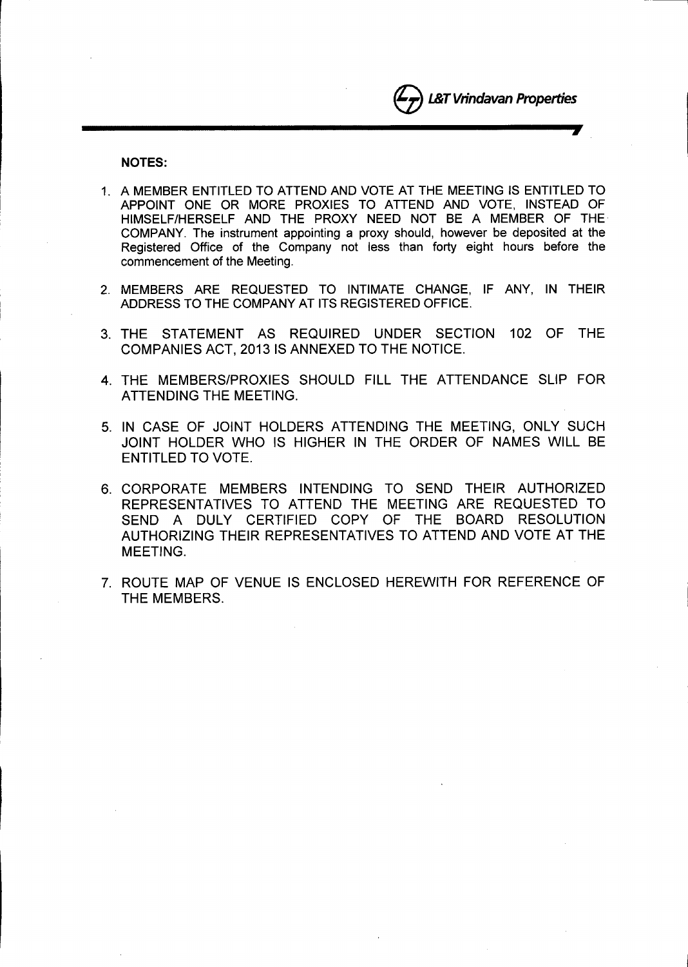**J**

NOTES:

- 1. A MEMBER ENTITLED TO ATTEND AND VOTE AT THE MEETING IS ENTITLED TO APPOINT ONE OR MORE PROXIES TO ATTEND AND VOTE, INSTEAD OF HIMSELF/HERSELF AND THE PROXY NEED NOT BE A MEMBER OF THE. COMPANY. The instrument appointing a proxy should, however be deposited at the Registered Office of the Company not less than forty eight hours before the commencement of the Meeting.
- 2. MEMBERS ARE REQUESTED TO INTIMATE CHANGE, IF ANY, IN THEIR ADDRESS TO THE COMPANY AT ITS REGISTERED OFFICE.
- 3. THE STATEMENT AS REQUIRED UNDER SECTION 102 OF THE COMPANIES ACT, 2013 IS ANNEXED TO THE NOTICE.
- 4. THE MEMBERS/PROXIES SHOULD FILL THE ATTENDANCE SLIP FOR ATTENDING THE MEETING.
- 5. IN CASE OF JOINT HOLDERS ATTENDING THE MEETING, ONLY SUCH JOINT HOLDER WHO IS HIGHER IN THE ORDER OF NAMES WILL BE ENTITLED TO VOTE.
- 6. CORPORATE MEMBERS INTENDING TO SEND THEIR AUTHORIZED REPRESENTATIVES TO ATTEND THE MEETING ARE REQUESTED TO SEND A DULY CERTIFIED COPY OF THE BOARD RESOLUTION AUTHORIZING THEIR REPRESENTATIVES TO ATTEND AND VOTE AT THE MEETING.
- 7. ROUTE MAP OF VENUE IS ENCLOSED HEREWITH FOR REFERENCE OF THE MEMBERS.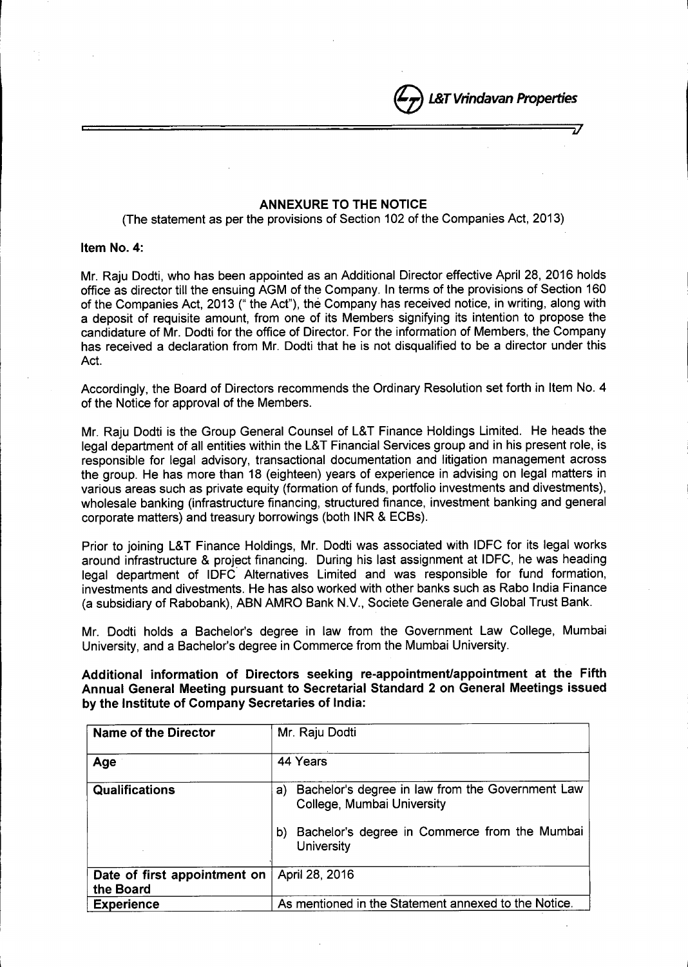# ANNEXURE TO THE NOTICE

e*L&T Vrindavan Properties*

*iJ*

(The statement as per the provisions of Section 102 of the Companies Act, 2013)

## Item No.4:

Mr. Raju Dodti, who has been appointed as an Additional Director effective April 28, 2016 holds office as director till the ensuing AGM of the Company. In terms of the provisions of Section 160 of the Companies Act, 2013 (" the Act"), the Company has received notice, in writing, along with a deposit of requisite amount, from one of its Members signifying its intention to propose the candidature of Mr. Dodti for the office of Director. For the information of Members, the Company has received a declaration from Mr. Dodti that he is not disqualified to be a director under this Act.

Accordingly, the Board of Directors recommends the Ordinary Resolution set forth in Item NO.4 of the Notice for approval of the Members.

Mr. Raju Dodti is the Group General Counsel of L&T Finance Holdings limited. He heads the legal department of all entities within the L&T Financial Services group and in his present role, is responsible for legal advisory, transactional documentation and litigation management across the group. He has more than 18 (eighteen) years of experience in advising on legal matters in various areas such as private equity (formation of funds, portfolio investments and divestments), wholesale banking (infrastructure financing, structured finance, investment banking and general corporate matters) and treasury borrowings (both INR & ECBs).

Prior to joining L&T Finance Holdings, Mr. Dodti was associated with IDFC for its legal works around infrastructure & project financing. During his last assignment at IDFC, he was heading legal department of IDFC' Alternatives limited and was responsible for fund formation, investments and divestments. He has also worked with other banks such as Rabo India Finance (a subsidiary of Rabobank), ABN AMRO Bank N.V., Societe Generale and Global Trust Bank.

Mr. Dodti holds a Bachelor's degree in law from the Government Law College, Mumbai University, and a Bachelor's degree in Commerce from the Mumbai University.

Additional information of Directors seeking re-appointment/appointment at the Fifth Annual General Meeting pursuant to Secretarial Standard 2 on General Meetings issued by the Institute of Company Secretaries of India:

| <b>Name of the Director</b>               | Mr. Raju Dodti                                                                                                                                                   |
|-------------------------------------------|------------------------------------------------------------------------------------------------------------------------------------------------------------------|
| Age                                       | 44 Years                                                                                                                                                         |
| Qualifications                            | Bachelor's degree in law from the Government Law<br>a)<br>College, Mumbai University<br>Bachelor's degree in Commerce from the Mumbai<br>b)<br><b>University</b> |
| Date of first appointment on<br>the Board | April 28, 2016                                                                                                                                                   |
| <b>Experience</b>                         | As mentioned in the Statement annexed to the Notice.                                                                                                             |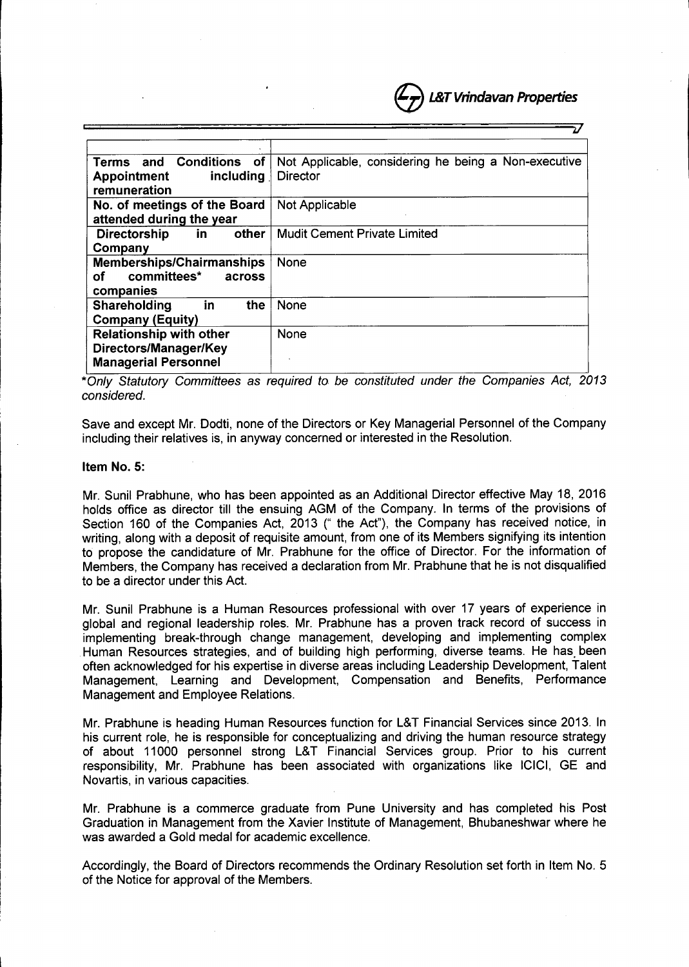

| Terms and Conditions of<br>including<br><b>Appointment</b><br>remuneration             | Not Applicable, considering he being a Non-executive<br><b>Director</b> |
|----------------------------------------------------------------------------------------|-------------------------------------------------------------------------|
| No. of meetings of the Board<br>attended during the year                               | Not Applicable                                                          |
| other I<br><b>Directorship</b><br>in.<br>Company                                       | <b>Mudit Cement Private Limited</b>                                     |
| <b>Memberships/Chairmanships</b><br>committees*<br>оf<br>across<br>companies           | <b>None</b>                                                             |
| the<br>Shareholding<br>in<br><b>Company (Equity)</b>                                   | <b>None</b>                                                             |
| <b>Relationship with other</b><br>Directors/Manager/Key<br><b>Managerial Personnel</b> | None                                                                    |

*\*On/y Statutory Committees* as *required to be constituted under the Companies Act, 2013 considered.*

Save and except Mr. Dodti, none of the Directors or Key Managerial Personnel of the Company including their relatives is, in anyway concerned or interested in the Resolution.

#### Item No.5:

Mr. Sunil Prabhune, who has been appointed as an Additional Director effective May 18, 2016 holds office as director till the ensuing AGM of the Company. In terms of the provisions of Section 160 of the Companies Act, 2013 (" the Act"), the Company has received notice, in writing, along with a deposit of requisite amount, from one of its Members signifying its intention to propose the candidature of Mr. Prabhune for the office of Director. For the information of Members, the Company has received a declaration from Mr. Prabhune that he is not disqualified to be a director under this Act.

Mr. Sunil Prabhune is a Human Resources professional with over 17 years of experience in global and regional leadership roles. Mr. Prabhune has a proven track record of success in implementing break-through change management, developing and implementing complex Human Resources strategies, and of building high performing, diverse teams. He has been often acknowledged for his expertise in diverse areas including Leadership Development, Talent Management, Learning and Development, Compensation and Benefits, Performance Management and Employee Relations.

Mr. Prabhune is heading Human Resources function for L&T Financial Services since 2013. In his current role, he is responsible for conceptualizing and driving the human resource strategy of about 11000 personnel strong L&T Financial Services group. Prior to his current responsibility, Mr. Prabhune has been associated with organizations like ICICI, GE and Novartis, in various capacities.

Mr. Prabhune is a commerce graduate from Pune University and has completed his Post Graduation in Management from the Xavier Institute of Management, Bhubaneshwar where he was awarded a Gold medal for academic excellence.

Accordingly, the Board of Directors recommends the Ordinary Resolution set forth in Item NO.5 of the Notice for approval of the Members.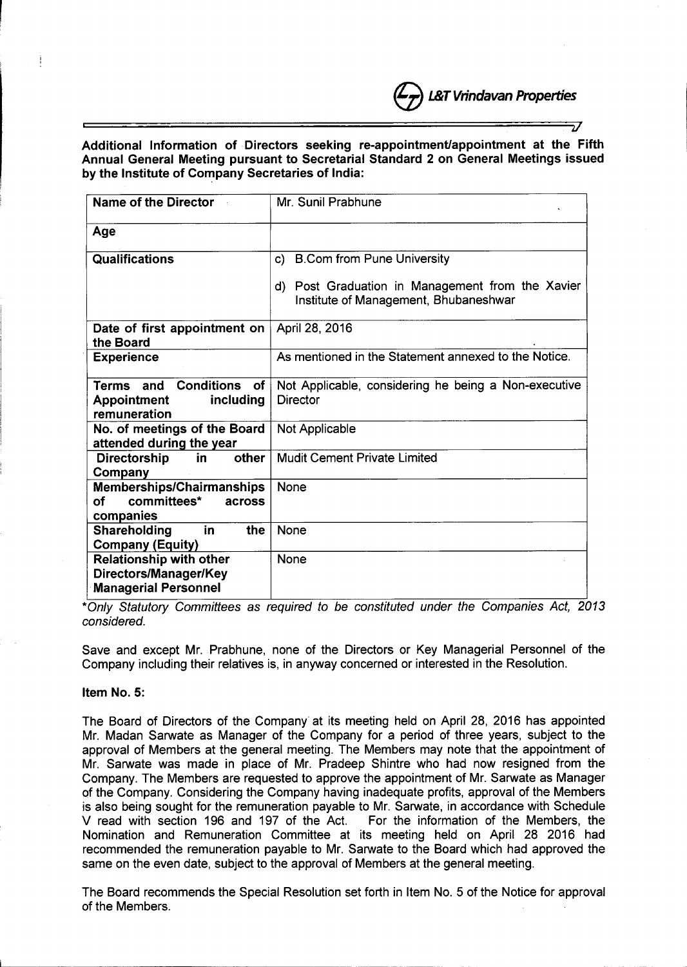# Additional Information of Directors seeking re-appointment/appointment at the Fifth Annual General Meeting pursuant to Secretarial Standard 2 on General Meetings issued by the Institute of Company Secretaries of India:

e*L&T Vrindavan Properties*

*JJ*

| Name of the Director                                                                        | Mr. Sunil Prabhune                                                                        |
|---------------------------------------------------------------------------------------------|-------------------------------------------------------------------------------------------|
| Age                                                                                         |                                                                                           |
| Qualifications                                                                              | <b>B.Com from Pune University</b><br>C)                                                   |
|                                                                                             | d) Post Graduation in Management from the Xavier<br>Institute of Management, Bhubaneshwar |
| Date of first appointment on<br>the Board                                                   | April 28, 2016                                                                            |
| <b>Experience</b>                                                                           | As mentioned in the Statement annexed to the Notice.                                      |
| <b>Terms and Conditions</b><br><b>of</b><br><b>Appointment</b><br>including<br>remuneration | Not Applicable, considering he being a Non-executive<br>Director                          |
| No. of meetings of the Board<br>attended during the year                                    | Not Applicable                                                                            |
| in<br>other<br>Directorship<br>Company                                                      | <b>Mudit Cement Private Limited</b>                                                       |
| <b>Memberships/Chairmanships</b><br>committees*<br>оf<br>across<br>companies                | <b>None</b>                                                                               |
| Shareholding<br>in<br>the<br><b>Company (Equity)</b>                                        | <b>None</b>                                                                               |
| <b>Relationship with other</b><br>Directors/Manager/Key<br><b>Managerial Personnel</b>      | None                                                                                      |

*\*Only Statutory Committees* as *required to be constituted under the Companies Act, 2013 considered.*

Save and except Mr. Prabhune, none of the Directors or Key Managerial Personnel of the Company including their relatives is, in anyway concerned or interested in the Resolution.

### Item NO.5:

I

The Board of Directors of the Company' at its meeting held on April 28, 2016 has appointed Mr. Madan Sarwate as Manager of the Company for a period of three years, subject to the approval of Members at the general meeting. The Members may note that the appointment of Mr. Sarwate was made in place of Mr. Pradeep Shintre who had now resigned from the Company. The Members are requested to approve the appointment of Mr. Sarwate as Manager of the Company. Considering the Company having inadequate profits, approval of the Members is also being sought for the remuneration payable to Mr. Sarwate, in accordance with Schedule V read with section 196 and 197 of the Act. For the information of the Members, the Nomination and Remuneration Committee at its meeting held on April 28 2016 had recommended the remuneration payable to Mr. Sarwate to the Board which had approved the same on the even date, subject to the approval of Members at the general meeting.

The Board recommends the Special Resolution set forth in Item NO.5 of the Notice for approval of the Members.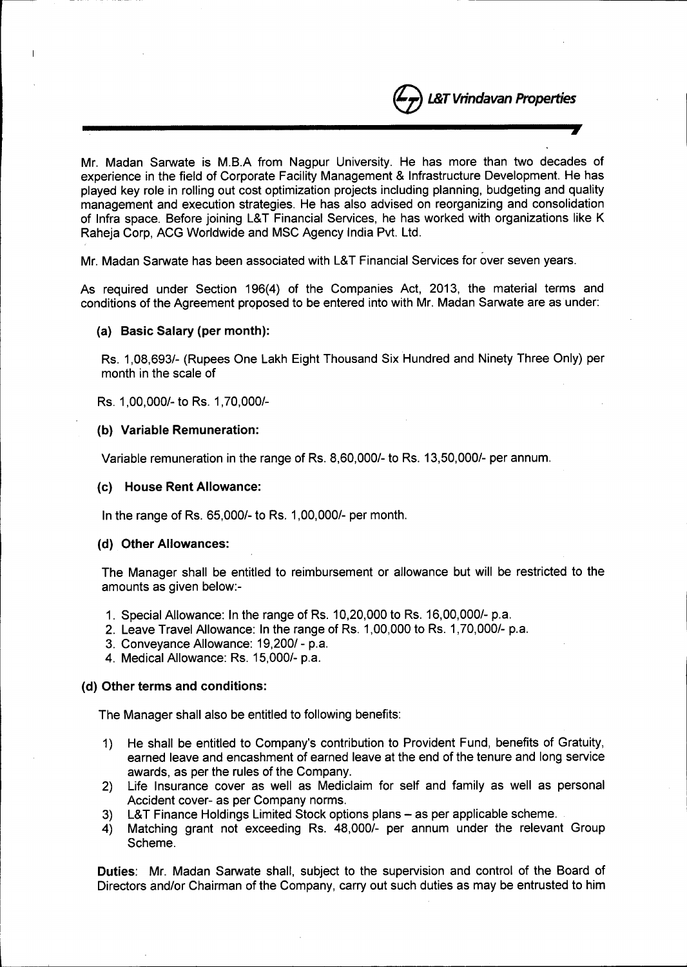e*L&T Vrindavan Properties* **----------------------- .•.,**

Mr. Madan Sarwate is M.B.A from Nagpur University. He has more than two decades of experience in the field of Corporate Facility Management & Infrastructure Development. He has played key role in rolling out cost optimization projects including planning, budgeting and quality management and execution strategies. He has also advised on reorganizing and consolidation of Infra space. Before joining L&T Financial Services, he has worked with organizations like K Raheja Corp, ACG Worldwide and MSC Agency India Pvt. Ltd.

Mr. Madan Sarwate has been associated with L&T Financial Services for over seven years.

As required under Section 196(4) of the Companies Act, 2013, the material terms and conditions of the Agreement proposed to be entered into with Mr. Madan Sarwate are as under:

### (a) Basic Salary (per month):

Rs. 1,08,693/- (Rupees One Lakh Eight Thousand Six Hundred and Ninety Three Only) per month in the scale of

Rs. 1,00,000/- to Rs. 1,70,000/-

## (b) Variable Remuneration:

Variable remuneration in the range of Rs. 8,60,000/- to Rs. 13,50,000/- per annum.

### (c) House Rent Allowance:

In the range of Rs. 65,000/- to Rs. 1,00,000/- per month.

## (d) Other Allowances:

The Manager shall be entitled to reimbursement or allowance but will be restricted to the amounts as given below:-

- 1. Special Allowance: In the range of Rs. 10,20,000 to Rs. 16,00,000/- p.a.
- 2. Leave Travel Allowance: In the range of Rs. 1,00,000 to Rs. 1,70,000/- p.a.
- 3. Conveyance Allowance: 19,200/ p.a.
- 4. Medical Allowance: Rs. 15,000/- p.a.

# (d) Other terms and conditions:

The Manager shall also be entitled to following benefits:

- 1) He shall be entitled to Company's contribution to Provident Fund, benefits of Gratuity, earned leave and encashment of earned leave at the end of the tenure and long service awards, as per the rules of the Company.
- 2) Life Insurance cover as well as Mediclaim for self and family as well as personal Accident cover- as per Company norms.
- 3) L&T Finance Holdings Limited Stock options plans as per applicable scheme.
- 4) Matching grant not exceeding Rs. 48,000/- per annum under the relevant Group Scheme.

Duties: Mr. Madan Sarwate shall, subject to the supervision and control of the Board of Directors and/or Chairman of the Company, carry out such duties as may be entrusted to him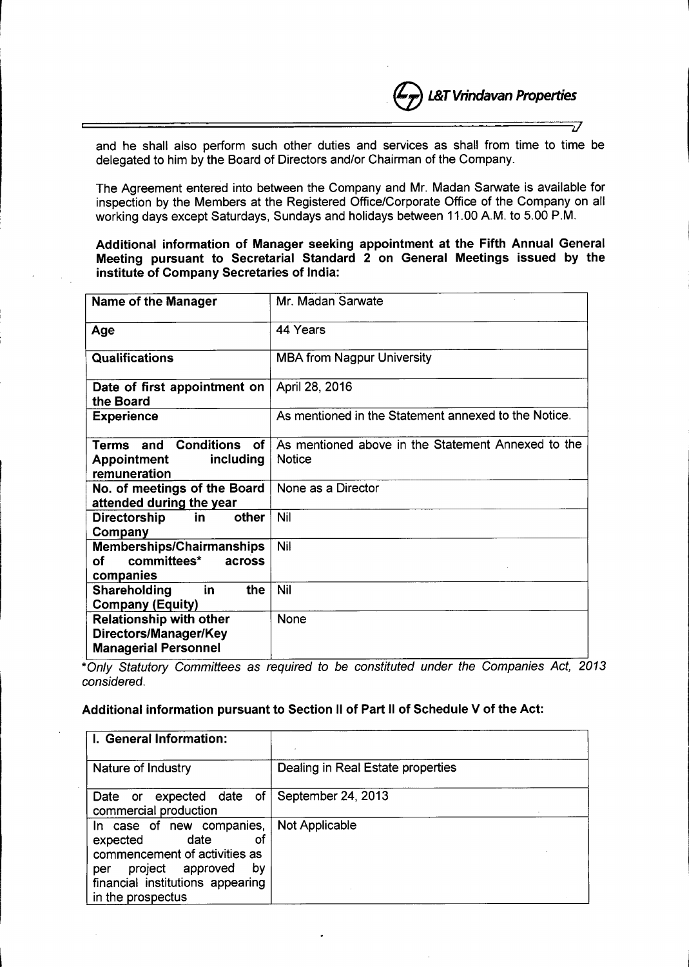

! *J*

**L&T** Vrindavan Properties

The Agreement entered into between the Company and Mr. Madan Sarwate is available for inspection by the Members at the Registered Office/Corporate Office of the Company on all working days except Saturdays, Sundays and holidays between 11.00 AM. to 5.00 P.M.

Additional information of Manager seeking appointment at the Fifth Annual General Meeting pursuant to Secretarial Standard 2 on General Meetings issued by the institute of Company Secretaries of India:

| <b>Name of the Manager</b>                                                             | Mr. Madan Sarwate                                                   |
|----------------------------------------------------------------------------------------|---------------------------------------------------------------------|
| Age                                                                                    | 44 Years                                                            |
| <b>Qualifications</b>                                                                  | <b>MBA from Nagpur University</b>                                   |
| Date of first appointment on<br>the Board                                              | April 28, 2016                                                      |
| <b>Experience</b>                                                                      | As mentioned in the Statement annexed to the Notice.                |
| <b>Terms and Conditions</b><br>of<br>including<br>Appointment<br>remuneration          | As mentioned above in the Statement Annexed to the<br><b>Notice</b> |
| No. of meetings of the Board<br>attended during the year                               | None as a Director                                                  |
| other<br>in<br><b>Directorship</b><br>Company                                          | <b>Nil</b>                                                          |
| Memberships/Chairmanships<br>committees*<br>оf<br>across<br>companies                  | Nil                                                                 |
| the<br>Shareholding<br>in<br><b>Company (Equity)</b>                                   | <b>Nil</b>                                                          |
| <b>Relationship with other</b><br>Directors/Manager/Key<br><b>Managerial Personnel</b> | <b>None</b>                                                         |

*\*Only Statutory Committees as required to be constituted under the Companies Act, 2013 considered.*

### Additional information pursuant to Section II of Part II of Schedule V of the Act:

| I. General Information:                                                                                                                                                        |                                   |
|--------------------------------------------------------------------------------------------------------------------------------------------------------------------------------|-----------------------------------|
| Nature of Industry                                                                                                                                                             | Dealing in Real Estate properties |
| expected date of<br>Date or<br>commercial production                                                                                                                           | September 24, 2013                |
| In case of new companies,<br>date<br>of<br>expected<br>commencement of activities as<br>project approved<br>by<br>per<br>financial institutions appearing<br>in the prospectus | <b>Not Applicable</b>             |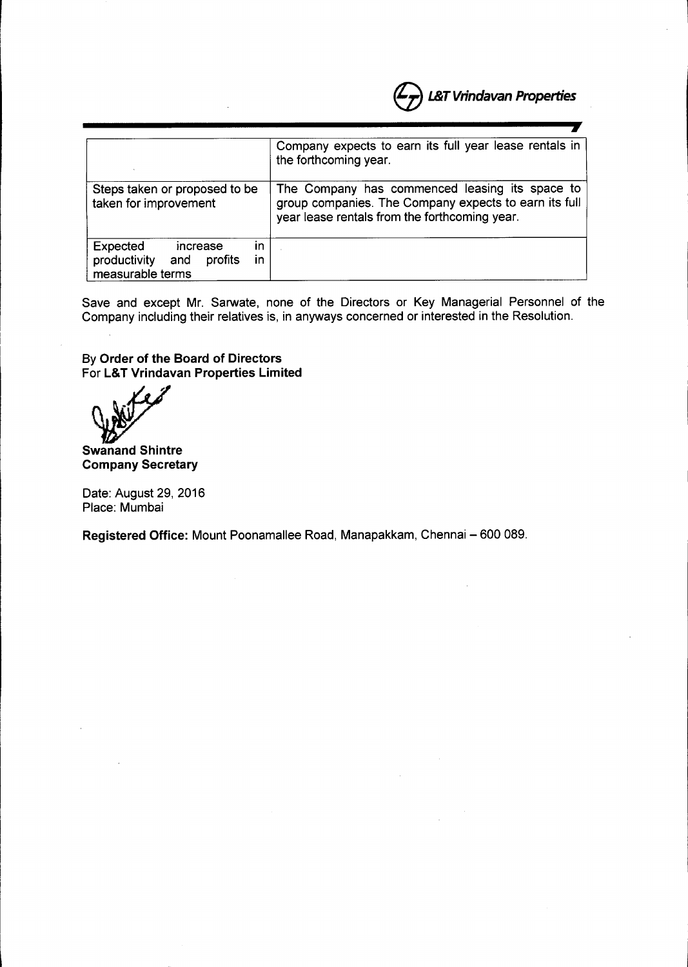|                                                                                        | <b>L&amp;T Vrindavan Properties</b>                                                                                                                      |
|----------------------------------------------------------------------------------------|----------------------------------------------------------------------------------------------------------------------------------------------------------|
|                                                                                        |                                                                                                                                                          |
|                                                                                        | Company expects to earn its full year lease rentals in<br>the forthcoming year.                                                                          |
| Steps taken or proposed to be<br>taken for improvement                                 | The Company has commenced leasing its space to<br>group companies. The Company expects to earn its full<br>year lease rentals from the forthcoming year. |
| Expected<br>in<br>increase<br>productivity<br>profits<br>and<br>ın<br>measurable terms |                                                                                                                                                          |

Save and except Mr. Sarwate, none of the Directors or Key Managerial Personnel of the Company including their relatives is, in anyways concerned or interested in the Resolution.

By **Order of the Board of Directors** For **L&T Vrindavan Properties Limited**

*<u><i>b/*</u>

**Swanand Shintre Company Secretary**

Date: August 29, 2016 Place: Mumbai

**Registered Office: Mount Poonamallee Road, Manapakkam, Chennai - 600 089.**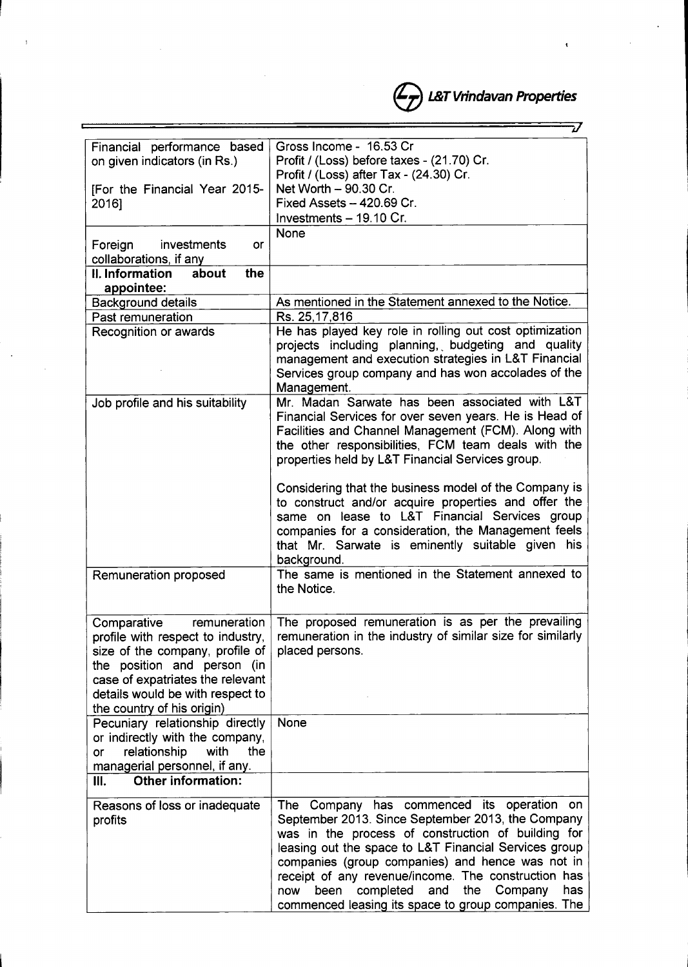$-$ Financial performance based Gross Income - 16.53 Cr on given indicators (in Rs.) Profit / (Loss) before taxes - (21.70) Cr. Profit / (Loss) after Tax - (24.30) Cr. [For the Financial Year 2015- Net Worth  $-90.30$  Cr. 2016] Fixed Assets - 420.69 Cr. Investments  $-19.10$  Cr. None Foreign investments or collaborations, if anv II. Information about the appointee: Background details **As mentioned in the Statement annexed to the Notice.** Past remuneration Rs. 25,17,816 Recognition or awards He has played key role in rolling out cost optimization projects including planning, budgeting and quality management and execution strategies in L&T Financial Services group company and has won accolades of the Management. Job profile and his suitability  $\parallel$  Mr. Madan Sarwate has been associated with L&T Financial Services for over seven years. He is Head of Facilities and Channel Management (FCM). Along with the other responsibilities, FCM team deals with the properties held by L&T Financial Services group. Considering that the business model of the Company is to construct and/or acquire properties and offer the same on lease to L&T Financial Services group companies for a consideration, the Management feels that Mr. Sarwate is eminently suitable given his backqround. Remuneration proposed The same is mentioned in the Statement annexed to the Notice. Comparative remuneration The proposed remuneration is as per the prevailing profile with respect to industry,  $\vert$  remuneration in the industry of similar size for similarly size of the company, profile of  $|$  placed persons. the position and person (in case of expatriates the relevant details would be with respect to the country of his oriqin) Pecuniary relationship directly None or indirectly with the company, or relationship with the manaqerial personnel, if anv. III. Other information: Reasons of loss or inadequate The Company has commenced its operation on profits September 2013. Since September 2013, the Company was in the process of construction of building for leasing out the space to L&T Financial Services group companies (group companies) and hence was not in receipt of any revenue/income. The construction has now been completed and the Company has commenced leasing its space to group companies. The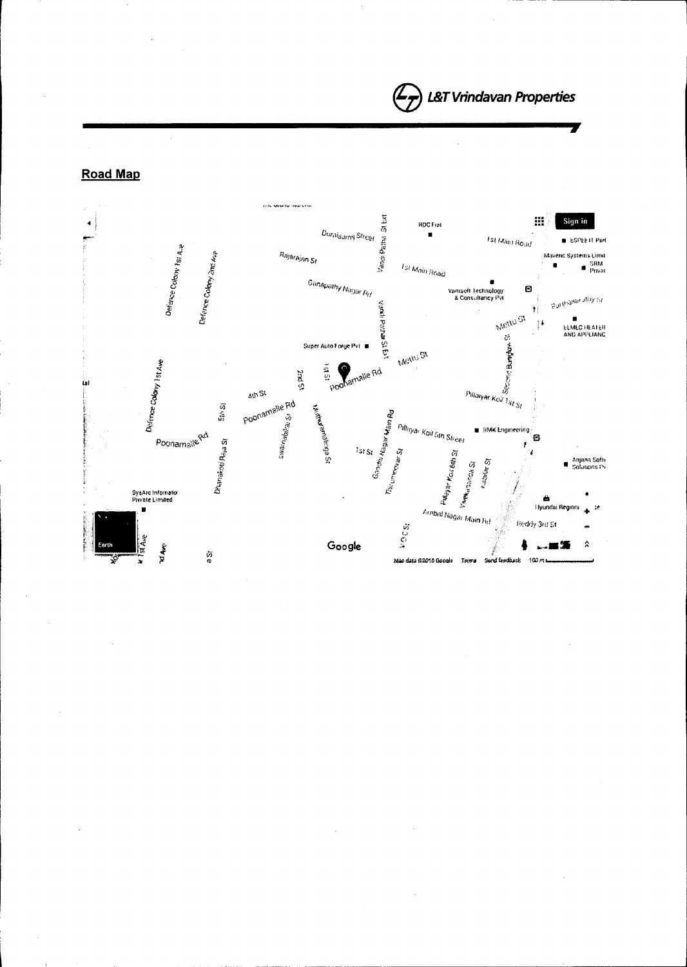**»**

Road Map

 $\bar{z}$ 

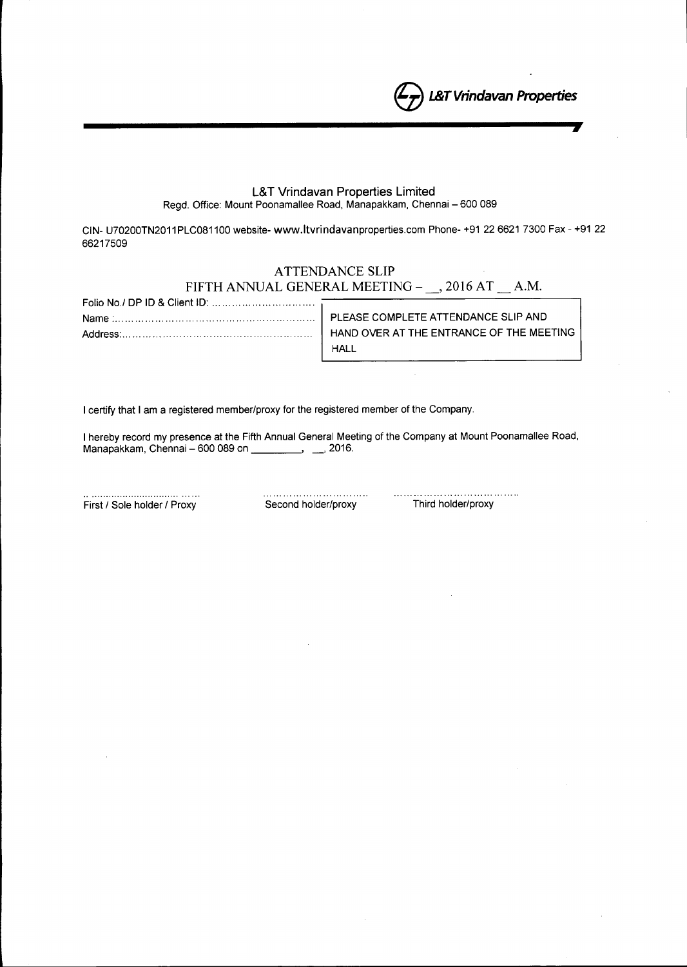L&T Vrindavan Properties Limited

Regd. Office: Mount Poonamallee Road, Manapakkam, Chennai - 600 089

CIN- U70200TN2011 PLC081100 website- [www.ltvrindavanproperties.com](http://www.ltvrindavanproperties.com) Phone- +91 226621 7300 Fax - +91 22 66217509

# ATTENDANCE SLIP FIFTH ANNUAL GENERAL MEETING - \_\_, 2016 AT \_\_ A.M.

| Folio No./ DP ID & Client ID: $\ldots$ $\ldots$ $\ldots$ $\ldots$ $\ldots$ $\ldots$ $\ldots$ |                                          |
|----------------------------------------------------------------------------------------------|------------------------------------------|
|                                                                                              |                                          |
|                                                                                              | HAND OVER AT THE ENTRANCE OF THE MEETING |
|                                                                                              | HALL                                     |

I certify that I am a registered member/proxy for the registered member of the Company.

I hereby record my presence at the Fifth Annual General Meeting of the Company at Mount Poonamallee Road, Manapakkam, Chennai - 600 089 on \_\_\_\_\_\_\_\_\_, \_\_, 2016.

First / Sole holder / Proxy Second holder/proxy Third holder/proxy

 $\ldots$  . . . . .

e *L&T Vrindavan Properties*

 $\int$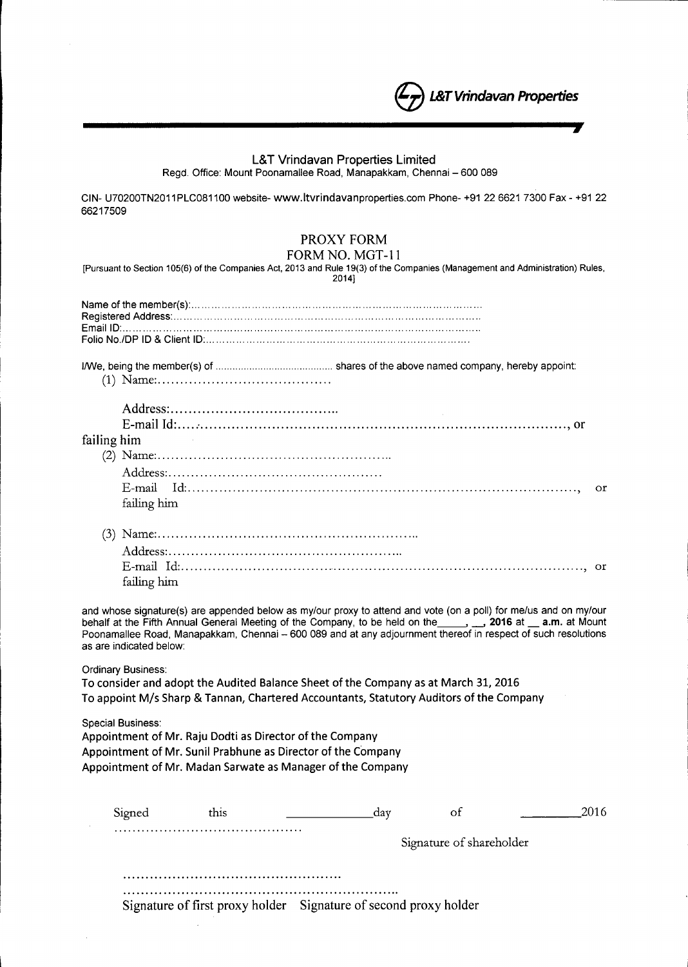## L&T Vrindavan Properties Limited

e *L&T Vrindavan Properties*

Regd. Office: Mount Poonamallee Road, Manapakkam, Chennai - 600 089

**------------------------,**

CIN- U70200TN2011 PLC081100 website- [www.ltvrindavanproperties.com](http://www.ltvrindavanproperties.com) Phone- +91 226621 7300 Fax - +91 22 66217509

# PROXY FORM

FORM NO. MGT-II

[Pursuant to Section 105(6) of the Companies Act, 2013 and Rule 19(3) of the Companies (Management and Administration) Rules, 2014)

l!We, being the member(s) of shares of the above named company, hereby appoint:

(1) Name: .

| failing him | $\mathcal{L}_{\text{max}}$ and $\mathcal{L}_{\text{max}}$ and $\mathcal{L}_{\text{max}}$ |  |
|-------------|------------------------------------------------------------------------------------------|--|
|             |                                                                                          |  |
|             |                                                                                          |  |
|             |                                                                                          |  |
|             | failing him                                                                              |  |
|             |                                                                                          |  |

| failing him |  |
|-------------|--|

and whose signature(s) are appended below as my/our proxy to attend and vote (on a poll) for me/us and on my/our behalf at the Fifth Annual General Meeting of the Company, to be held on the 1, 2016 at 1, 2016 at 1, 2016 at  $\sim$  2016 at  $\sim$  2016 at  $\sim$  2016 at  $\sim$  2016 at  $\sim$  2016 at  $\sim$  2016 at  $\sim$  2016 at  $\sim$  2016 at  $\sim$  201 Poonamallee Road, Manapakkam, Chennai - 600 089 and at any adjournment thereof in respect of such resolutions as are indicated below:

Ordinary Business:

To consider and adopt the Audited Balance Sheet of the Company as at March 31, 2016 To appoint *Mis* Sharp & Tannan, Chartered Accountants, Statutory Auditors ofthe Company

Special Business:

Appointment of Mr. Raju Dodti as Director of the Company Appointment of Mr. Sunil Prabhune as Director of the Company Appointment of Mr. Madan Sarwate as Manager of the Company

| Signed | this | пат                                                              | Οt                       | 2016 |
|--------|------|------------------------------------------------------------------|--------------------------|------|
|        | .    |                                                                  | Signature of shareholder |      |
|        |      |                                                                  |                          |      |
|        |      | Signature of first proxy holder Signature of second proxy holder |                          |      |